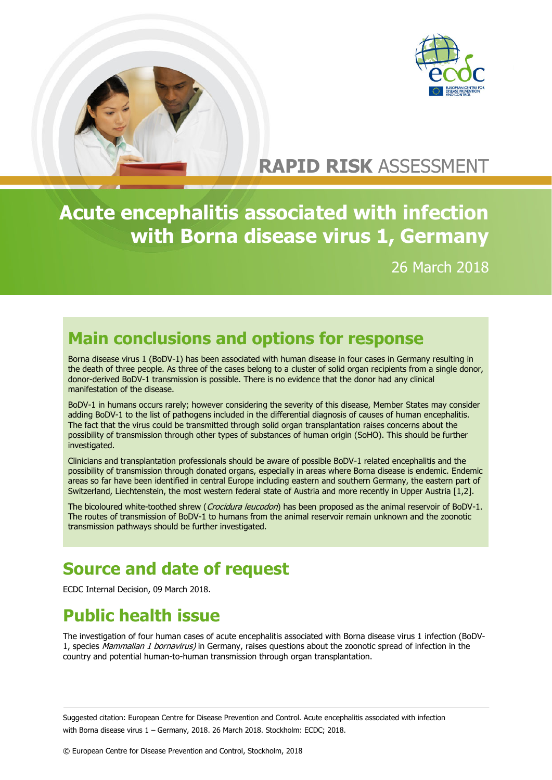



# **RAPID RISK** ASSESSMENT

**Acute encephalitis associated with infection with Borna disease virus 1, Germany**

26 March 2018

## **Main conclusions and options for response**

Borna disease virus 1 (BoDV-1) has been associated with human disease in four cases in Germany resulting in the death of three people. As three of the cases belong to a cluster of solid organ recipients from a single donor, donor-derived BoDV-1 transmission is possible. There is no evidence that the donor had any clinical manifestation of the disease.

BoDV-1 in humans occurs rarely; however considering the severity of this disease, Member States may consider adding BoDV-1 to the list of pathogens included in the differential diagnosis of causes of human encephalitis. The fact that the virus could be transmitted through solid organ transplantation raises concerns about the possibility of transmission through other types of substances of human origin (SoHO). This should be further investigated.

Clinicians and transplantation professionals should be aware of possible BoDV-1 related encephalitis and the possibility of transmission through donated organs, especially in areas where Borna disease is endemic. Endemic areas so far have been identified in central Europe including eastern and southern Germany, the eastern part of Switzerland, Liechtenstein, the most western federal state of Austria and more recently in Upper Austria [1,2].

The bicoloured white-toothed shrew (Crocidura leucodon) has been proposed as the animal reservoir of BoDV-1. The routes of transmission of BoDV-1 to humans from the animal reservoir remain unknown and the zoonotic transmission pathways should be further investigated.

## **Source and date of request**

ECDC Internal Decision, 09 March 2018.

# **Public health issue**

The investigation of four human cases of acute encephalitis associated with Borna disease virus 1 infection (BoDV-1, species Mammalian 1 bornavirus) in Germany, raises questions about the zoonotic spread of infection in the country and potential human-to-human transmission through organ transplantation.

Suggested citation: European Centre for Disease Prevention and Control. Acute encephalitis associated with infection with Borna disease virus 1 – Germany, 2018. 26 March 2018. Stockholm: ECDC; 2018.

© European Centre for Disease Prevention and Control, Stockholm, 2018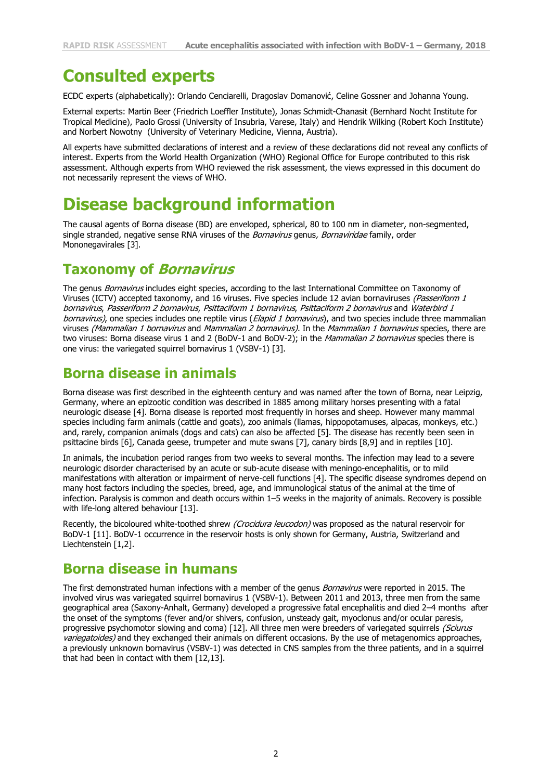### **Consulted experts**

ECDC experts (alphabetically): Orlando Cenciarelli, Dragoslav Domanović, Celine Gossner and Johanna Young.

External experts: Martin Beer (Friedrich Loeffler Institute), Jonas Schmidt-Chanasit (Bernhard Nocht Institute for Tropical Medicine), Paolo Grossi (University of Insubria, Varese, Italy) and Hendrik Wilking (Robert Koch Institute) and Norbert Nowotny (University of Veterinary Medicine, Vienna, Austria).

All experts have submitted declarations of interest and a review of these declarations did not reveal any conflicts of interest. Experts from the World Health Organization (WHO) Regional Office for Europe contributed to this risk assessment. Although experts from WHO reviewed the risk assessment, the views expressed in this document do not necessarily represent the views of WHO.

### **Disease background information**

The causal agents of Borna disease (BD) are enveloped, spherical, 80 to 100 nm in diameter, non-segmented, single stranded, negative sense RNA viruses of the Bornavirus genus, Bornaviridae family, order Mononegavirales [3].

#### **Taxonomy of Bornavirus**

The genus Bornavirus includes eight species, according to the last International Committee on Taxonomy of Viruses (ICTV) accepted taxonomy, and 16 viruses. Five species include 12 avian bornaviruses (Passeriform 1 bornavirus, Passeriform 2 bornavirus, Psittaciform 1 bornavirus, Psittaciform 2 bornavirus and Waterbird 1 bornavirus), one species includes one reptile virus (Elapid 1 bornavirus), and two species include three mammalian viruses (Mammalian 1 bornavirus and Mammalian 2 bornavirus). In the Mammalian 1 bornavirus species, there are two viruses: Borna disease virus 1 and 2 (BoDV-1 and BoDV-2); in the Mammalian 2 bornavirus species there is one virus: the variegated squirrel bornavirus 1 (VSBV-1) [3].

#### **Borna disease in animals**

Borna disease was first described in the eighteenth century and was named after the town of Borna, near Leipzig, Germany, where an epizootic condition was described in 1885 among military horses presenting with a fatal neurologic disease [4]. Borna disease is reported most frequently in horses and sheep. However many mammal species including farm animals (cattle and goats), zoo animals (llamas, hippopotamuses, alpacas, monkeys, etc.) and, rarely, companion animals (dogs and cats) can also be affected [5]. The disease has recently been seen in psittacine birds [6], Canada geese, trumpeter and mute swans [7], canary birds [8,9] and in reptiles [10].

In animals, the incubation period ranges from two weeks to several months. The infection may lead to a severe neurologic disorder characterised by an acute or sub-acute disease with meningo-encephalitis, or to mild manifestations with alteration or impairment of nerve-cell functions [4]. The specific disease syndromes depend on many host factors including the species, breed, age, and immunological status of the animal at the time of infection. Paralysis is common and death occurs within 1–5 weeks in the majority of animals. Recovery is possible with life-long altered behaviour [13].

Recently, the bicoloured white-toothed shrew (Crocidura leucodon) was proposed as the natural reservoir for BoDV-1 [11]. BoDV-1 occurrence in the reservoir hosts is only shown for Germany, Austria, Switzerland and Liechtenstein [1,2].

#### **Borna disease in humans**

The first demonstrated human infections with a member of the genus *Bornavirus* were reported in 2015. The involved virus was variegated squirrel bornavirus 1 (VSBV-1). Between 2011 and 2013, three men from the same geographical area (Saxony-Anhalt, Germany) developed a progressive fatal encephalitis and died 2–4 months after the onset of the symptoms (fever and/or shivers, confusion, unsteady gait, myoclonus and/or ocular paresis, progressive psychomotor slowing and coma) [12]. All three men were breeders of variegated squirrels (Sciurus variegatoides) and they exchanged their animals on different occasions. By the use of metagenomics approaches, a previously unknown bornavirus (VSBV-1) was detected in CNS samples from the three patients, and in a squirrel that had been in contact with them [12,13].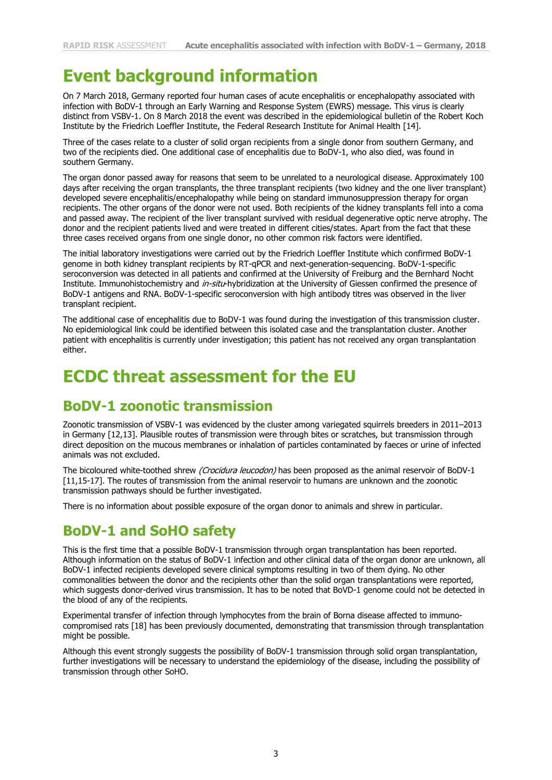### **Event background information**

On 7 March 2018, Germany reported four human cases of acute encephalitis or encephalopathy associated with infection with BoDV-1 through an Early Warning and Response System (EWRS) message. This virus is clearly distinct from VSBV-1. On 8 March 2018 the event was described in the epidemiological bulletin of the Robert Koch Institute by the Friedrich Loeffler Institute, the Federal Research Institute for Animal Health [14].

Three of the cases relate to a cluster of solid organ recipients from a single donor from southern Germany, and two of the recipients died. One additional case of encephalitis due to BoDV-1, who also died, was found in southern Germany.

The organ donor passed away for reasons that seem to be unrelated to a neurological disease. Approximately 100 days after receiving the organ transplants, the three transplant recipients (two kidney and the one liver transplant) developed severe encephalitis/encephalopathy while being on standard immunosuppression therapy for organ recipients. The other organs of the donor were not used. Both recipients of the kidney transplants fell into a coma and passed away. The recipient of the liver transplant survived with residual degenerative optic nerve atrophy. The donor and the recipient patients lived and were treated in different cities/states. Apart from the fact that these three cases received organs from one single donor, no other common risk factors were identified.

The initial laboratory investigations were carried out by the Friedrich Loeffler Institute which confirmed BoDV-1 genome in both kidney transplant recipients by RT-qPCR and next-generation-sequencing. BoDV-1-specific seroconversion was detected in all patients and confirmed at the University of Freiburg and the Bernhard Nocht Institute. Immunohistochemistry and in-situ-hybridization at the University of Giessen confirmed the presence of BoDV-1 antigens and RNA. BoDV-1-specific seroconversion with high antibody titres was observed in the liver transplant recipient.

The additional case of encephalitis due to BoDV-1 was found during the investigation of this transmission cluster. No epidemiological link could be identified between this isolated case and the transplantation cluster. Another patient with encephalitis is currently under investigation; this patient has not received any organ transplantation either.

### **ECDC threat assessment for the EU**

#### **BoDV-1 zoonotic transmission**

Zoonotic transmission of VSBV-1 was evidenced by the cluster among variegated squirrels breeders in 2011–2013 in Germany [12,13]. Plausible routes of transmission were through bites or scratches, but transmission through direct deposition on the mucous membranes or inhalation of particles contaminated by faeces or urine of infected animals was not excluded.

The bicoloured white-toothed shrew (Crocidura leucodon) has been proposed as the animal reservoir of BoDV-1 [11,15-17]. The routes of transmission from the animal reservoir to humans are unknown and the zoonotic transmission pathways should be further investigated.

There is no information about possible exposure of the organ donor to animals and shrew in particular.

#### **BoDV-1 and SoHO safety**

This is the first time that a possible BoDV-1 transmission through organ transplantation has been reported. Although information on the status of BoDV-1 infection and other clinical data of the organ donor are unknown, all BoDV-1 infected recipients developed severe clinical symptoms resulting in two of them dying. No other commonalities between the donor and the recipients other than the solid organ transplantations were reported, which suggests donor-derived virus transmission. It has to be noted that BoVD-1 genome could not be detected in the blood of any of the recipients.

Experimental transfer of infection through lymphocytes from the brain of Borna disease affected to immunocompromised rats [18] has been previously documented, demonstrating that transmission through transplantation might be possible.

Although this event strongly suggests the possibility of BoDV-1 transmission through solid organ transplantation, further investigations will be necessary to understand the epidemiology of the disease, including the possibility of transmission through other SoHO.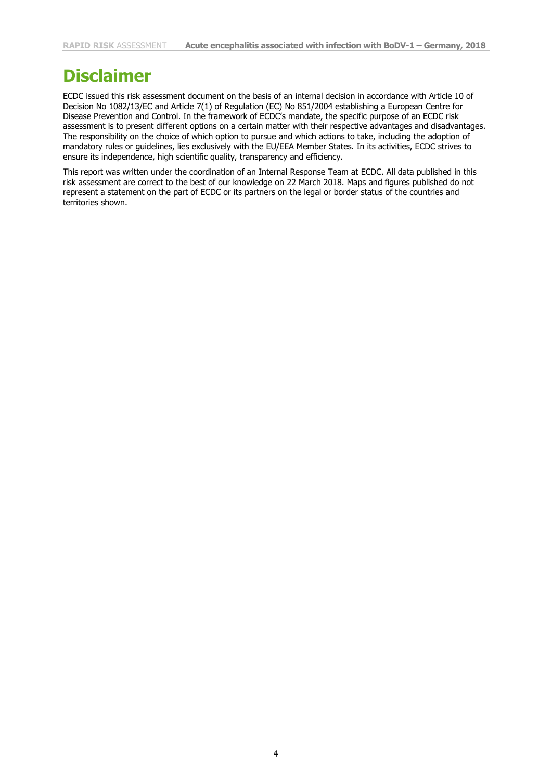### **Disclaimer**

ECDC issued this risk assessment document on the basis of an internal decision in accordance with Article 10 of Decision No 1082/13/EC and Article 7(1) of Regulation (EC) No 851/2004 establishing a European Centre for Disease Prevention and Control. In the framework of ECDC's mandate, the specific purpose of an ECDC risk assessment is to present different options on a certain matter with their respective advantages and disadvantages. The responsibility on the choice of which option to pursue and which actions to take, including the adoption of mandatory rules or guidelines, lies exclusively with the EU/EEA Member States. In its activities, ECDC strives to ensure its independence, high scientific quality, transparency and efficiency.

This report was written under the coordination of an Internal Response Team at ECDC. All data published in this risk assessment are correct to the best of our knowledge on 22 March 2018. Maps and figures published do not represent a statement on the part of ECDC or its partners on the legal or border status of the countries and territories shown.